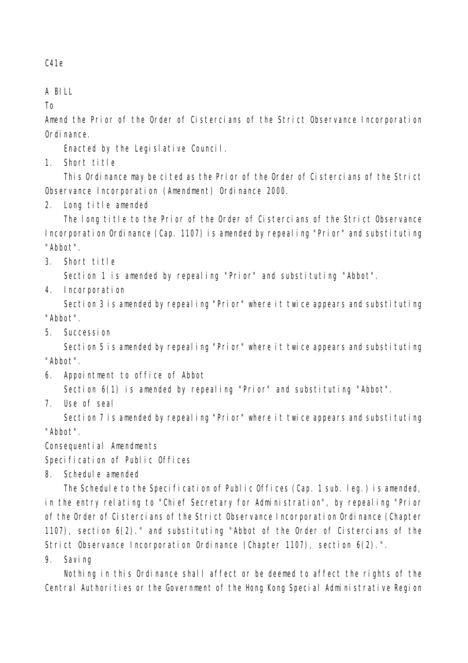C41e

## A BILL

To

Amend the Prior of the Order of Cistercians of the Strict Observance Incorporation Ordinance.

Enacted by the Legislative Council.

1. Short title

This Ordinance may be cited as the Prior of the Order of Cistercians of the Strict Observance Incorporation (Amendment) Ordinance 2000.

2. Long title amended

The long title to the Prior of the Order of Cistercians of the Strict Observance Incorporation Ordinance (Cap. 1107) is amended by repealing "Prior" and substituting "Abbot".

3. Short title

Section 1 is amended by repealing "Prior" and substituting "Abbot".

4. Incorporation

Section 3 is amended by repealing "Prior" where it twice appears and substituting "Abbot".

5. Succession

Section 5 is amended by repealing "Prior" where it twice appears and substituting "Abbot".

6. Appointment to office of Abbot

Section  $6(1)$  is amended by repealing "Prior" and substituting "Abbot".

7. Use of seal

Section 7 is amended by repealing "Prior" where it twice appears and substituting "Abbot".

Consequential Amendments

Specification of Public Offices

8. Schedule amended

The Schedule to the Specification of Public Offices (Cap. 1 sub. leg.) is amended, in the entry relating to "Chief Secretary for Administration", by repealing "Prior of the Order of Cistercians of the Strict Observance Incorporation Ordinance (Chapter 1107), section 6(2)." and substituting "Abbot of the Order of Cistercians of the Strict Observance Incorporation Ordinance (Chapter 1107), section 6(2).".

9. Saving

Nothing in this Ordinance shall affect or be deemed to affect the rights of the Central Authorities or the Government of the Hong Kong Special Administrative Region